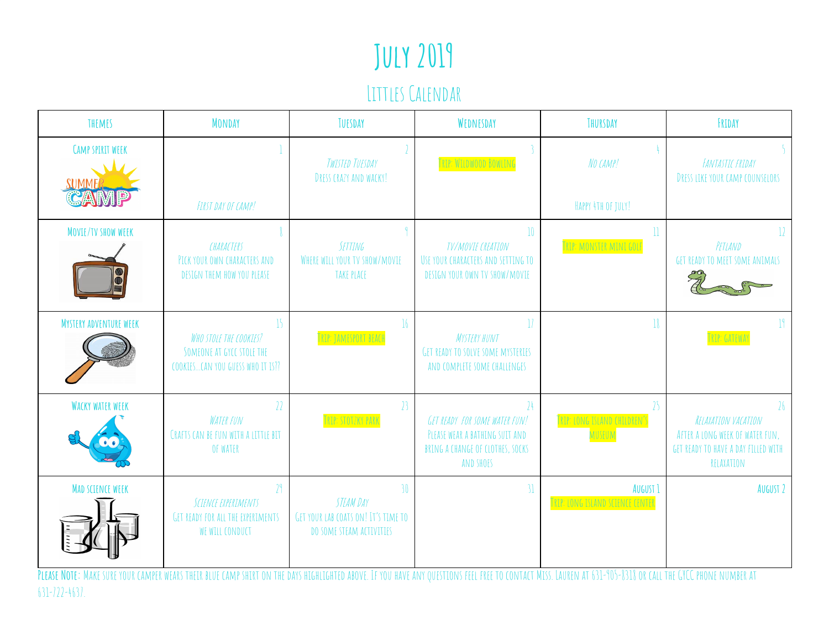# July 2019

#### Littles Calendar

| THEMES                           | <b>MONDAY</b>                                                                                                                                                                                                                                                                                               | TUESDAY                                                                                   | WEDNESDAY                                                                                                                     | THURSDAY                                                | FRIDAY                                                                                                            |
|----------------------------------|-------------------------------------------------------------------------------------------------------------------------------------------------------------------------------------------------------------------------------------------------------------------------------------------------------------|-------------------------------------------------------------------------------------------|-------------------------------------------------------------------------------------------------------------------------------|---------------------------------------------------------|-------------------------------------------------------------------------------------------------------------------|
| <b>CAMP SPIRIT WEEK</b><br>SUMME | FIRST DAY OF CAMP!                                                                                                                                                                                                                                                                                          | TWISTED TUESDAY<br>DRESS CRAZY AND WACKY!                                                 | TRIP: WILDWOOD BOWLING                                                                                                        | NO CAMP!<br>HAPPY 4TH OF JULY!                          | <b>FANTASTIC FRIDAY</b><br><b>DRESS LIKE YOUR CAMP COUNSELORS</b>                                                 |
| MOVIE/TV SHOW WEEK               | CHARACTERS<br>PICK YOUR OWN CHARACTERS AND<br>DESIGN THEM HOW YOU PLEASE                                                                                                                                                                                                                                    | <b>SETTING</b><br>WHERE WILL YOUR TV SHOW/MOVIE<br><b>TAKE PLACE</b>                      | $10\,$<br><b>TV/MOVIE CREATION</b><br>USE YOUR CHARACTERS AND SETTING TO<br>DESIGN YOUR OWN TV SHOW/MOVIE                     | $\mathop{\mathrm{ll}}$<br><b>RIP: MONSTER MINI GOLF</b> | 12<br>PETLAND<br><b>GET READY TO MEET SOME ANIMALS</b>                                                            |
| <b>MYSTERY ADVENTURE WEEK</b>    | 15<br>WHO STOLE THE COOKIES?<br>SOMEONE AT GYCC STOLE THE<br>COOKIESCAN YOU GUESS WHO IT IS ??                                                                                                                                                                                                              | 16<br>TRIP: JAMESPORT BEACH                                                               | <b>MYSTERY HUNT</b><br><b>GET READY TO SOLVE SOME MYSTERIES</b><br>AND COMPLETE SOME CHALLENGES                               | 18                                                      | $\mathbb{I}^{\mathsf{q}}$<br>TRIP: GATEWAY                                                                        |
| <b>WACKY WATER WEEK</b>          | 22<br><b>WATER FUN</b><br>CRAFTS CAN BE FUN WITH A LITTLE BIT<br>OF WATER                                                                                                                                                                                                                                   | 23<br>TRIP: STOTZKY PARK                                                                  | 24<br><b>GET READY FOR SOME WATER FUN!</b><br>PLEASE WEAR A BATHING SUIT AND<br>BRING A CHANGE OF CLOTHES, SOCKS<br>AND SHOES | 25<br>TRIP: LONG ISLAND CHILDREN'S<br>MUSEUM            | 26<br>RELAXATION VACATION<br>AFTER A LONG WEEK OF WATER FUN.<br>GET READY TO HAVE A DAY FILLED WITH<br>RELAXATION |
| <b>MAD SCIENCE WEEK</b>          | 2 <sup>q</sup><br>SCIENCE EXPERIMENTS<br>GET READY FOR ALL THE EXPERIMENTS<br>WE WILL CONDUCT<br>PLEASE NOTE: MAKE SURE YOUR CAMPER WEARS THEIR BLUE CAMP SHIRT ON THE DAYS HIGHLIGHTED ABOVE. IF YOU HAVE ANY QUESTIONS FEEL FREE TO CONTACT MISS. LAUREN AT 631-905-8318 OR CALL THE GYCC PHONE NUMBER AT | 30<br><b>STEAM DAY</b><br>GET YOUR LAB COATS ON! IT'S TIME TO<br>DO SOME STEAM ACTIVITIES | 31                                                                                                                            | AUGUST 1<br>TRIP: LONG ISLAND SCIENCE CENTER            | AUGUST 2                                                                                                          |

631-722-4637.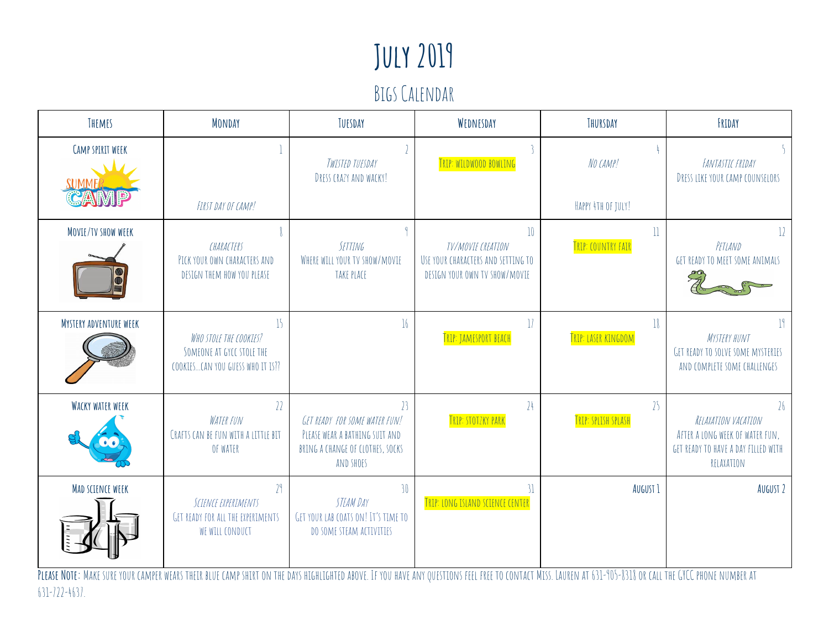# July 2019

#### Bigs Calendar

| THEMES                                                                                                                                                                                                     | <b>MONDAY</b>                                                                                  | TUESDAY                                                                                                                           | WEDNESDAY                                                                                          | THURSDAY                                      | FRIDAY                                                                                                            |
|------------------------------------------------------------------------------------------------------------------------------------------------------------------------------------------------------------|------------------------------------------------------------------------------------------------|-----------------------------------------------------------------------------------------------------------------------------------|----------------------------------------------------------------------------------------------------|-----------------------------------------------|-------------------------------------------------------------------------------------------------------------------|
| <b>CAMP SPIRIT WEEK</b>                                                                                                                                                                                    | FIRST DAY OF CAMP!                                                                             | TWISTED TUESDAY<br>DRESS CRAZY AND WACKY!                                                                                         | TRIP: WILDWOOD BOWLING                                                                             | NO CAMP!<br>HAPPY 4TH OF JULY!                | <b>FANTASTIC FRIDAY</b><br>DRESS LIKE YOUR CAMP COUNSELORS                                                        |
| MOVIE/TV SHOW WEEK                                                                                                                                                                                         | CHARACTERS<br>PICK YOUR OWN CHARACTERS AND<br>DESIGN THEM HOW YOU PLEASE                       | <b>SETTING</b><br>WHERE WILL YOUR TV SHOW/MOVIE<br>TAKE PLACE                                                                     | $10\,$<br>TV/MOVIE CREATION<br>USE YOUR CHARACTERS AND SETTING TO<br>DESIGN YOUR OWN TV SHOW/MOVIE | $\overline{\mathbf{l}}$<br>TRIP: COUNTRY FAIR | $12 \,$<br>PETLAND<br>GET READY TO MEET SOME ANIMALS                                                              |
| <b>MYSTERY ADVENTURE WEEK</b>                                                                                                                                                                              | 15<br>WHO STOLE THE COOKIES?<br>SOMEONE AT GYCC STOLE THE<br>COOKIESCAN YOU GUESS WHO IT IS ?? | 16                                                                                                                                | $\mathcal{V}$<br><b>TRIP: JAMESPORT BEACH</b>                                                      | 18<br>TRIP: LASER KINGDOM                     | ]<br><b>MYSTERY HUNT</b><br><b>GET READY TO SOLVE SOME MYSTERIES</b><br>AND COMPLETE SOME CHALLENGES              |
| <b>WACKY WATER WEEK</b>                                                                                                                                                                                    | 22<br><b>WATER FUN</b><br>CRAFTS CAN BE FUN WITH A LITTLE BIT<br>OF WATER                      | $\mathcal{V}$<br>GET READY FOR SOME WATER FUN!<br>PLEASE WEAR A BATHING SUIT AND<br>BRING A CHANGE OF CLOTHES, SOCKS<br>AND SHOES | 24<br><b>TRIP: STOTZKY PARK</b>                                                                    | $\frac{1}{2}$<br>TRIP: SPLISH SPLASH          | 26<br>RELAXATION VACATION<br>AFTER A LONG WEEK OF WATER FUN.<br>GET READY TO HAVE A DAY FILLED WITH<br>RELAXATION |
| MAD SCIENCE WEEK                                                                                                                                                                                           | 79<br>SCIENCE EXPERIMENTS<br>GET READY FOR ALL THE EXPERIMENTS<br>WE WILL CONDUCT              | 30<br>STEAM DAY<br>GET YOUR LAB COATS ON! IT'S TIME TO<br>DO SOME STEAM ACTIVITIES                                                | <b>TRIP: LONG ISLAND SCIENCE CENTER</b>                                                            | AUGUST <sub>1</sub>                           | AUGUST 2                                                                                                          |
| PLEASE NOTE: MAKE SURE YOUR CAMPER WEARS THEIR BLUE CAMP SHIRT ON THE DAYS HIGHLIGHTED ABOVE. IF YOU HAVE ANY OUESTIONS FEEL FREE TO CONTACT MISS. LAUREN AT 631-905-8318 OR CALL THE GYCC PHONE NUMBER AT |                                                                                                |                                                                                                                                   |                                                                                                    |                                               |                                                                                                                   |

631-722-4637.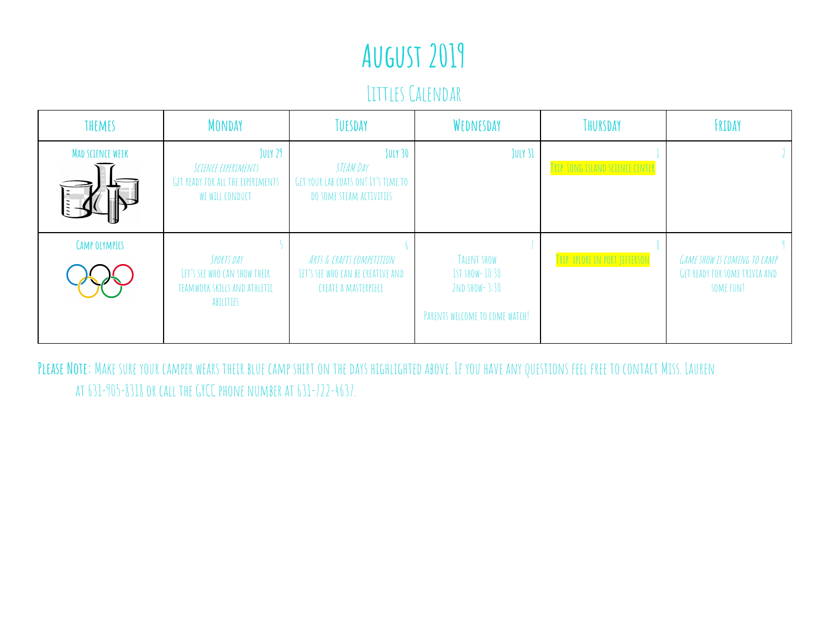### August 2019

Littles Calendar

| THEMES                  | <b>MONDAY</b>                                                                                 | TUESDAY                                                                                        | WEDNESDAY                                                                                | THURSDAY                         | FRIDAY                                                                                  |
|-------------------------|-----------------------------------------------------------------------------------------------|------------------------------------------------------------------------------------------------|------------------------------------------------------------------------------------------|----------------------------------|-----------------------------------------------------------------------------------------|
| <b>MAD SCIENCE WEEK</b> | JULY 29<br>SCIENCE EXPERIMENTS<br><b>GET READY FOR ALL THE EXPERIMENTS</b><br>WE WILL CONDUCT | <b>JULY 30</b><br>STEAM DAY<br>GET YOUR LAB COATS ON! IT'S TIME TO<br>DO SOME STEAM ACTIVITIES | JULY 31                                                                                  | TRIP: LONG ISLAND SCIENCE CENTER |                                                                                         |
| <b>CAMP OLYMPICS</b>    | SPORTS DAY<br>LET'S SEE WHO CAN SHOW THEIR<br>TEAMWORK SKILLS AND ATHLETIC<br>ABILITIES       | ARTS & CRAFTS COMPETITION<br>LET'S SEE WHO CAN BE CREATIVE AND<br>CREATE A MASTERPIECE         | TALENT SHOW<br><b>IST SHOW- 10:30</b><br>2ND SHOW-3:30<br>PARENTS WELCOME TO COME WATCH! | TRIP: XPLORE IN PORT JEFFERSON   | <b>GAME SHOW IS COMING TO CAMP</b><br><b>GET READY FOR SOME TRIVIA AND</b><br>SOME FUN! |

PLEASE NOTE: MAKE SURE YOUR CAMPER WEARS THEIR BLUE CAMP SHIRT ON THE DAYS HIGHLIGHTED ABOVE. IF YOU HAVE ANY QUESTIONS FEEL FREE TO CONTACT MISS. LAUREN at 631-905-8318or call theGYCC phone number at 631-722-4637.